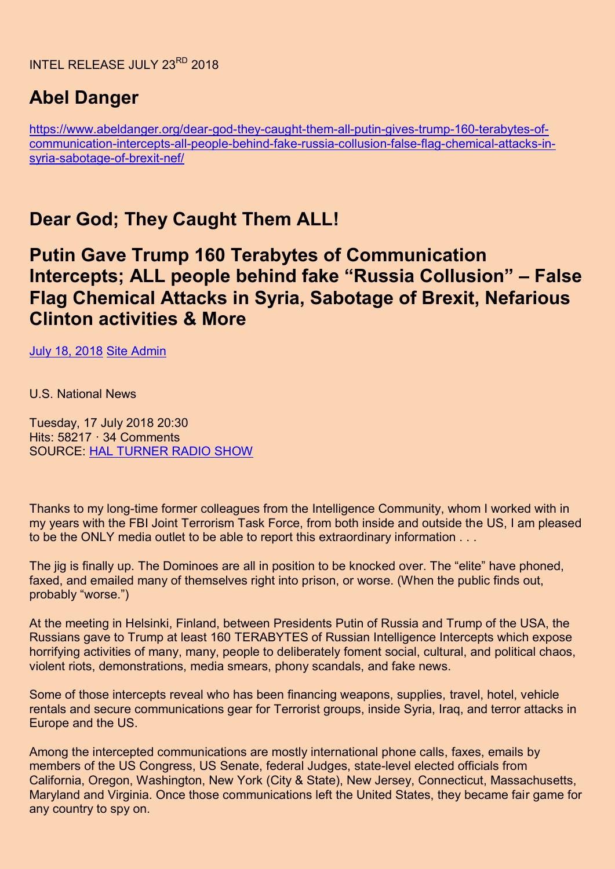# **Abel Danger**

[https://www.abeldanger.org/dear-god-they-caught-them-all-putin-gives-trump-160-terabytes-of](https://www.abeldanger.org/dear-god-they-caught-them-all-putin-gives-trump-160-terabytes-of-communication-intercepts-all-people-behind-fake-russia-collusion-false-flag-chemical-attacks-in-syria-sabotage-of-brexit-nef/)[communication-intercepts-all-people-behind-fake-russia-collusion-false-flag-chemical-attacks-in](https://www.abeldanger.org/dear-god-they-caught-them-all-putin-gives-trump-160-terabytes-of-communication-intercepts-all-people-behind-fake-russia-collusion-false-flag-chemical-attacks-in-syria-sabotage-of-brexit-nef/)[syria-sabotage-of-brexit-nef/](https://www.abeldanger.org/dear-god-they-caught-them-all-putin-gives-trump-160-terabytes-of-communication-intercepts-all-people-behind-fake-russia-collusion-false-flag-chemical-attacks-in-syria-sabotage-of-brexit-nef/)

## **Dear God; They Caught Them ALL!**

### **Putin Gave Trump 160 Terabytes of Communication Intercepts; ALL people behind fake "Russia Collusion" – False Flag Chemical Attacks in Syria, Sabotage of Brexit, Nefarious Clinton activities & More**

[July 18, 2018](https://www.abeldanger.org/dear-god-they-caught-them-all-putin-gives-trump-160-terabytes-of-communication-intercepts-all-people-behind-fake-russia-collusion-false-flag-chemical-attacks-in-syria-sabotage-of-brexit-nef/) [Site Admin](https://www.abeldanger.org/author/admin/)

U.S. National News

Tuesday, 17 July 2018 20:30 Hits: 58217 · 34 Comments SOURCE: [HAL TURNER RADIO SHOW](http://halturnerradioshow.com/index.php/news/u-s-national-news/2855-dear-god-they-caught-them-all-putin-gives-trump-160-terabytes-of-communication-intercepts-all-people-behind-fake-russia-collusion-false-flag-chemical-attacks-in-syria-sabotage-of-brexit-nefarious-clinton-activities-more)

Thanks to my long-time former colleagues from the Intelligence Community, whom I worked with in my years with the FBI Joint Terrorism Task Force, from both inside and outside the US, I am pleased to be the ONLY media outlet to be able to report this extraordinary information . . .

The jig is finally up. The Dominoes are all in position to be knocked over. The "elite" have phoned, faxed, and emailed many of themselves right into prison, or worse. (When the public finds out, probably "worse.")

At the meeting in Helsinki, Finland, between Presidents Putin of Russia and Trump of the USA, the Russians gave to Trump at least 160 TERABYTES of Russian Intelligence Intercepts which expose horrifying activities of many, many, people to deliberately foment social, cultural, and political chaos, violent riots, demonstrations, media smears, phony scandals, and fake news.

Some of those intercepts reveal who has been financing weapons, supplies, travel, hotel, vehicle rentals and secure communications gear for Terrorist groups, inside Syria, Iraq, and terror attacks in Europe and the US.

Among the intercepted communications are mostly international phone calls, faxes, emails by members of the US Congress, US Senate, federal Judges, state-level elected officials from California, Oregon, Washington, New York (City & State), New Jersey, Connecticut, Massachusetts, Maryland and Virginia. Once those communications left the United States, they became fair game for any country to spy on.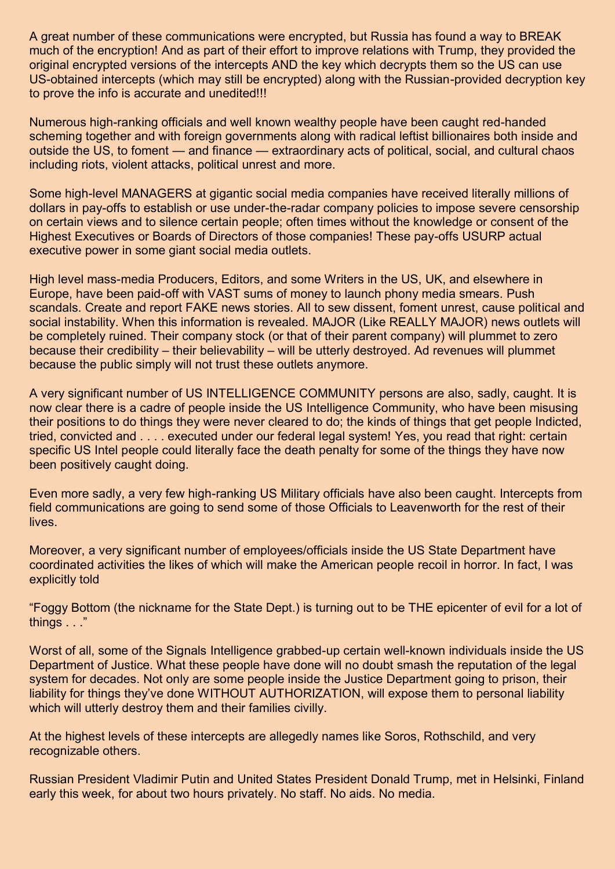A great number of these communications were encrypted, but Russia has found a way to BREAK much of the encryption! And as part of their effort to improve relations with Trump, they provided the original encrypted versions of the intercepts AND the key which decrypts them so the US can use US-obtained intercepts (which may still be encrypted) along with the Russian-provided decryption key to prove the info is accurate and unedited!!!

Numerous high-ranking officials and well known wealthy people have been caught red-handed scheming together and with foreign governments along with radical leftist billionaires both inside and outside the US, to foment — and finance — extraordinary acts of political, social, and cultural chaos including riots, violent attacks, political unrest and more.

Some high-level MANAGERS at gigantic social media companies have received literally millions of dollars in pay-offs to establish or use under-the-radar company policies to impose severe censorship on certain views and to silence certain people; often times without the knowledge or consent of the Highest Executives or Boards of Directors of those companies! These pay-offs USURP actual executive power in some giant social media outlets.

High level mass-media Producers, Editors, and some Writers in the US, UK, and elsewhere in Europe, have been paid-off with VAST sums of money to launch phony media smears. Push scandals. Create and report FAKE news stories. All to sew dissent, foment unrest, cause political and social instability. When this information is revealed. MAJOR (Like REALLY MAJOR) news outlets will be completely ruined. Their company stock (or that of their parent company) will plummet to zero because their credibility – their believability – will be utterly destroyed. Ad revenues will plummet because the public simply will not trust these outlets anymore.

A very significant number of US INTELLIGENCE COMMUNITY persons are also, sadly, caught. It is now clear there is a cadre of people inside the US Intelligence Community, who have been misusing their positions to do things they were never cleared to do; the kinds of things that get people Indicted, tried, convicted and . . . . executed under our federal legal system! Yes, you read that right: certain specific US Intel people could literally face the death penalty for some of the things they have now been positively caught doing.

Even more sadly, a very few high-ranking US Military officials have also been caught. Intercepts from field communications are going to send some of those Officials to Leavenworth for the rest of their lives.

Moreover, a very significant number of employees/officials inside the US State Department have coordinated activities the likes of which will make the American people recoil in horror. In fact, I was explicitly told

"Foggy Bottom (the nickname for the State Dept.) is turning out to be THE epicenter of evil for a lot of things . . ."

Worst of all, some of the Signals Intelligence grabbed-up certain well-known individuals inside the US Department of Justice. What these people have done will no doubt smash the reputation of the legal system for decades. Not only are some people inside the Justice Department going to prison, their liability for things they've done WITHOUT AUTHORIZATION, will expose them to personal liability which will utterly destroy them and their families civilly.

At the highest levels of these intercepts are allegedly names like Soros, Rothschild, and very recognizable others.

Russian President Vladimir Putin and United States President Donald Trump, met in Helsinki, Finland early this week, for about two hours privately. No staff. No aids. No media.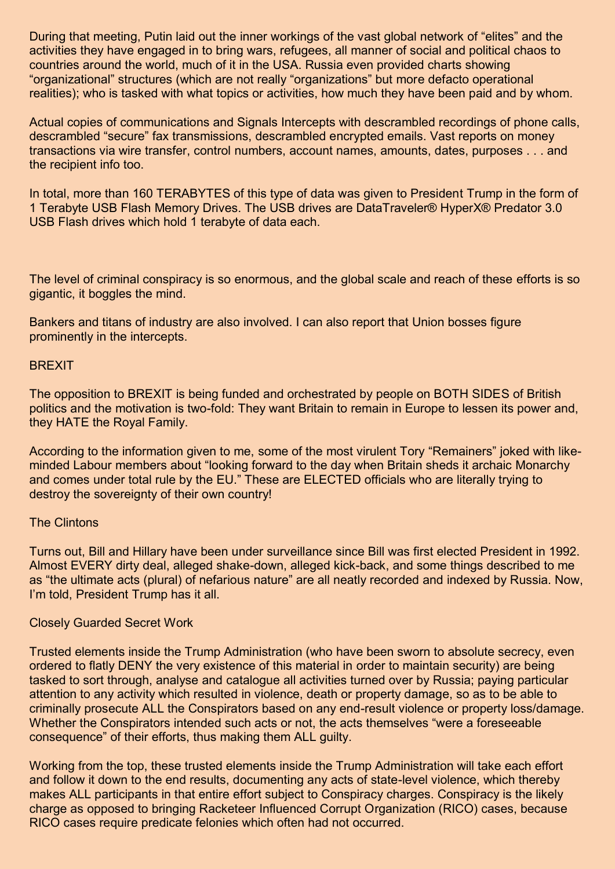During that meeting, Putin laid out the inner workings of the vast global network of "elites" and the activities they have engaged in to bring wars, refugees, all manner of social and political chaos to countries around the world, much of it in the USA. Russia even provided charts showing "organizational" structures (which are not really "organizations" but more defacto operational realities); who is tasked with what topics or activities, how much they have been paid and by whom.

Actual copies of communications and Signals Intercepts with descrambled recordings of phone calls, descrambled "secure" fax transmissions, descrambled encrypted emails. Vast reports on money transactions via wire transfer, control numbers, account names, amounts, dates, purposes . . . and the recipient info too.

In total, more than 160 TERABYTES of this type of data was given to President Trump in the form of 1 Terabyte USB Flash Memory Drives. The USB drives are DataTraveler® HyperX® Predator 3.0 USB Flash drives which hold 1 terabyte of data each.

The level of criminal conspiracy is so enormous, and the global scale and reach of these efforts is so gigantic, it boggles the mind.

Bankers and titans of industry are also involved. I can also report that Union bosses figure prominently in the intercepts.

#### **BREXIT**

The opposition to BREXIT is being funded and orchestrated by people on BOTH SIDES of British politics and the motivation is two-fold: They want Britain to remain in Europe to lessen its power and, they HATE the Royal Family.

According to the information given to me, some of the most virulent Tory "Remainers" joked with likeminded Labour members about "looking forward to the day when Britain sheds it archaic Monarchy and comes under total rule by the EU." These are ELECTED officials who are literally trying to destroy the sovereignty of their own country!

#### The Clintons

Turns out, Bill and Hillary have been under surveillance since Bill was first elected President in 1992. Almost EVERY dirty deal, alleged shake-down, alleged kick-back, and some things described to me as "the ultimate acts (plural) of nefarious nature" are all neatly recorded and indexed by Russia. Now, I'm told, President Trump has it all.

#### Closely Guarded Secret Work

Trusted elements inside the Trump Administration (who have been sworn to absolute secrecy, even ordered to flatly DENY the very existence of this material in order to maintain security) are being tasked to sort through, analyse and catalogue all activities turned over by Russia; paying particular attention to any activity which resulted in violence, death or property damage, so as to be able to criminally prosecute ALL the Conspirators based on any end-result violence or property loss/damage. Whether the Conspirators intended such acts or not, the acts themselves "were a foreseeable consequence" of their efforts, thus making them ALL guilty.

Working from the top, these trusted elements inside the Trump Administration will take each effort and follow it down to the end results, documenting any acts of state-level violence, which thereby makes ALL participants in that entire effort subject to Conspiracy charges. Conspiracy is the likely charge as opposed to bringing Racketeer Influenced Corrupt Organization (RICO) cases, because RICO cases require predicate felonies which often had not occurred.